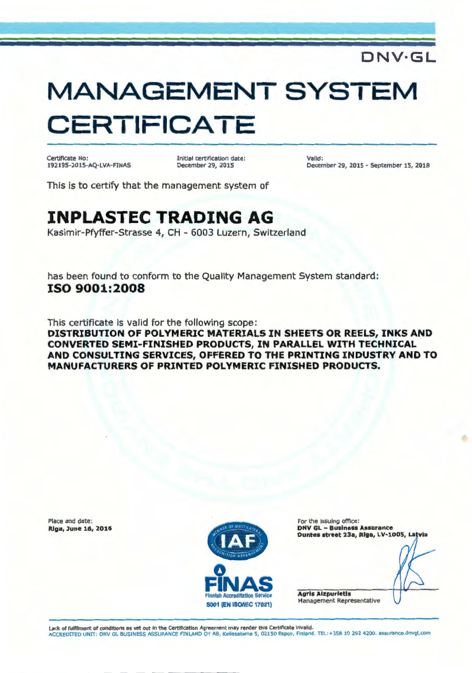#### **DNV·GL**

# **MANAGEMENT SYSTEM CERTIFICATE**

Certificate No: 192195-2015-AQ- LVA-FINAS Initial certification date: December 29, 2015

Valid: December 29, 2015 - September 15, 2018

This is to certify that the management system of

### **INPLASTEC TRADING AG**

Kasimir-Pfyffer-Strasse 4, CH - 6003 Luzern, Switzerland

has been found to conform to the Quality Management System standard: **ISO 9001:2008** 

This certificate is valid for the following scope : **DISTRIBUTION OF POLYMERIC MATERIALS IN SHEETS OR REELS, INKS AND CONVERTED SEMI-FINISHED PRODUCTS, IN PARALLEL WITH TECHNICAL AND CONSULTING SERVICES, OFFERED TO THE PRINTING INDUSTRY AND TO MANUFACTURERS OF PRINTED POLYMERIC FINISHED PRODUCTS.** 

Place and date: Riga, lune 16, 2016



For the Issuing office: DNV GL - Business Assurance Duntes street 23a, Riga, LV-1005, Latvia

Agrls Aizpurietls Management Representative

Lack of fulfilment of conditions as set out In the Certification Agreement may render this Certificate Invalid. ACCREDITED UNIT: DNV GL BUSINESS ASSURANCE FINLAND OY AB, Keilasatama 5, 02150 Espoo, Finland . TEL:+ 358 10 292 4200. assurance.dnvgl.com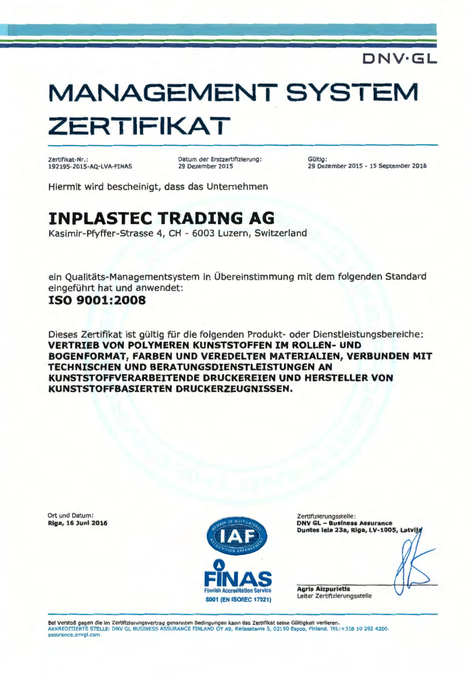### **DNV·GL**

# **MANAGEMENT SYSTEM ZERTIFIKAT**

Zertifikat-Nr.: 192195-2015-AQ-LVA-FINAS Datum der Erstzertifizierung : 29 Dezember 2015

Gültig: 29 Dezember 2015 - 15 September 2018

Hiermit wird bescheinigt, dass das Unternehmen

### **INPLASTEC TRADING AG**

Kasimir-Pfyffer-Strasse 4, CH - 6003 Luzern, Switzerland

ein Qualitäts-Managementsystem in Übereinstimmung mit dem folgenden Standard eingeführt hat und anwendet:

#### **ISO 9001:2008**

Dieses Zertifikat ist gültig für die folgenden Produkt- oder Dienstleistungsbereiche: **VERTRIEB VON POLYMEREN KUNSTSTOFFEN IM ROLLEN- UNO BOGENFORMAT, FARBEN UNO VEREOELTEN MATERIALIEN, VERBUNOEN MIT TECHNISCHEN UNO BERATUNGSOIENSTLEISTUNGEN AN KUNSTSTOFFVERARBEITENOE ORUCKEREIEN UNO HERSTELLER VON KUNSTSTOFFBASIERTEN ORUCKERZEUGNISSEN.** 

| Ort und Datum:<br><b>Riga, 16 Juni 2016</b> |                                             | Zertifizierungsstelle:<br><b>DNV GL - Business Assurance</b> |
|---------------------------------------------|---------------------------------------------|--------------------------------------------------------------|
|                                             | <b><i>NITION ARRANC</i></b>                 | Duntes iela 23a, Rīga, LV-1005, Latvija                      |
|                                             | IAS<br><b>Finnish Accreditation Service</b> | <b>Agris Aizpurietis</b>                                     |
|                                             | <b>S001 (EN ISO/IEC 17021)</b>              | Leiter Zertifizierungsstelle                                 |

Bei Verstoß gegen die im Zertifizierungsvertrag genannten Bedingungen kann das Zertifikat seine Gültigkeit verlieren.<br>AKKREDITIERTE STELLE: DNV GL BUSINESS ASSURANCE FINLAND OY AB, Keilasatama 5, 02150 Espoo, Finland. TEL: assurance.dnvgi .com